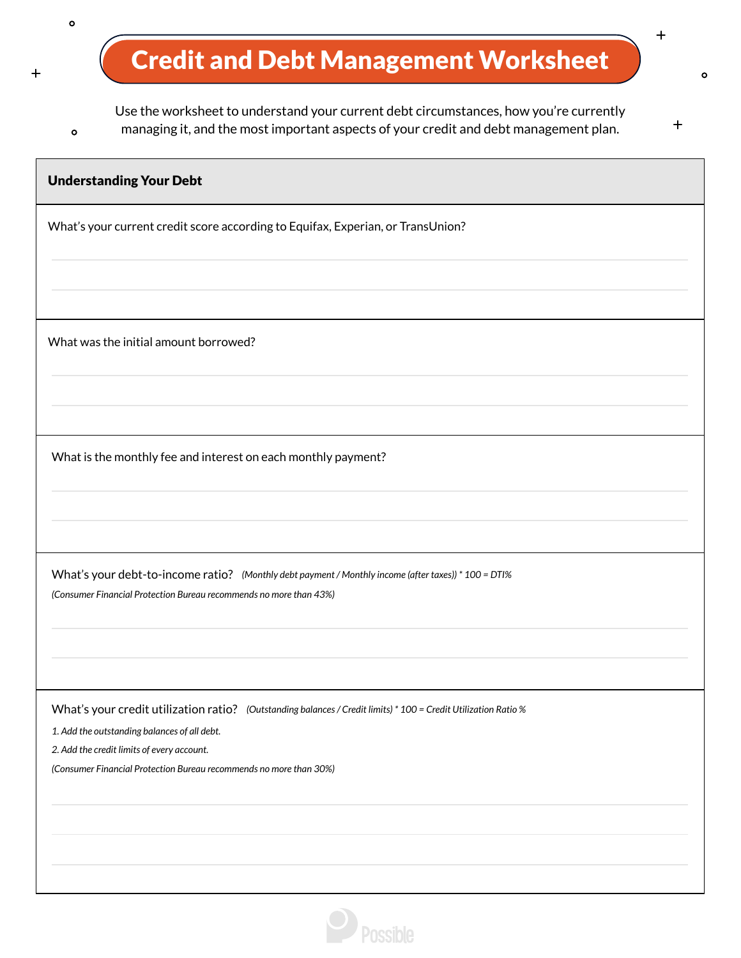## Credit and Debt Management Worksheet

 $\circ$ 

 $\circ$ 

 $+$ 

Use the worksheet to understand your current debt circumstances, how you're currently managing it, and the most important aspects of your credit and debt management plan.

 $+$ 

 $\circ$ 

 $\ddag$ 

| <b>Understanding Your Debt</b>                                                                                   |
|------------------------------------------------------------------------------------------------------------------|
| What's your current credit score according to Equifax, Experian, or TransUnion?                                  |
|                                                                                                                  |
|                                                                                                                  |
| What was the initial amount borrowed?                                                                            |
|                                                                                                                  |
|                                                                                                                  |
| What is the monthly fee and interest on each monthly payment?                                                    |
|                                                                                                                  |
|                                                                                                                  |
| What's your debt-to-income ratio? (Monthly debt payment / Monthly income (after taxes)) * 100 = DTI%             |
| (Consumer Financial Protection Bureau recommends no more than 43%)                                               |
|                                                                                                                  |
|                                                                                                                  |
| What's your credit utilization ratio? (Outstanding balances / Credit limits) * 100 = Credit Utilization Ratio %  |
| 1. Add the outstanding balances of all debt.                                                                     |
| 2. Add the credit limits of every account.<br>(Consumer Financial Protection Bureau recommends no more than 30%) |
|                                                                                                                  |
|                                                                                                                  |
|                                                                                                                  |
|                                                                                                                  |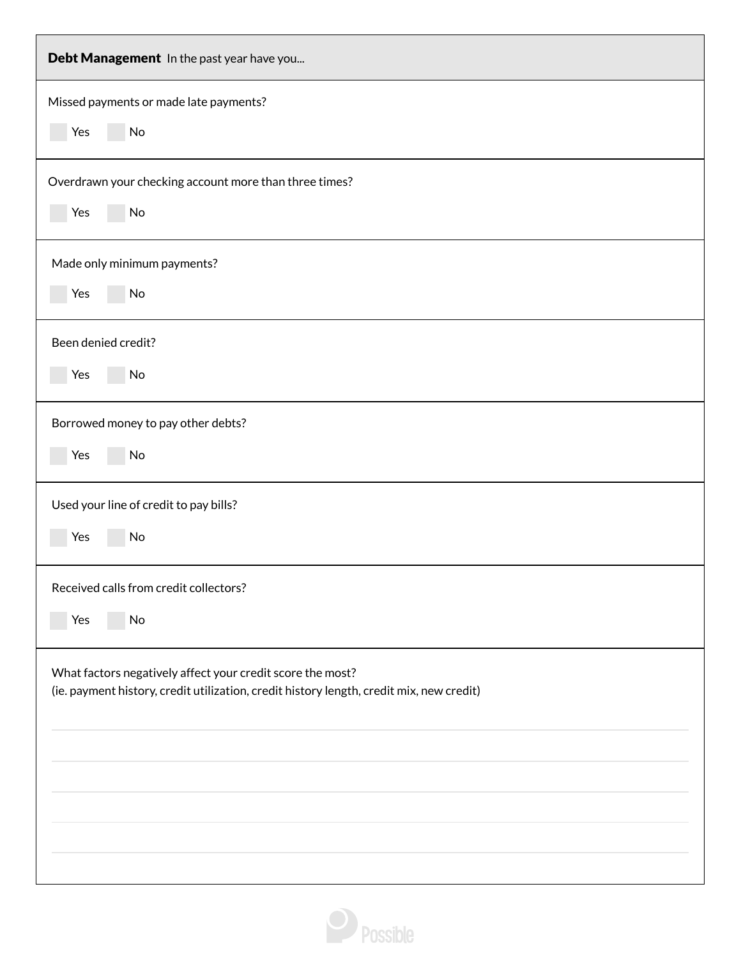| Debt Management In the past year have you                                                                                                              |
|--------------------------------------------------------------------------------------------------------------------------------------------------------|
| Missed payments or made late payments?<br>Yes<br>No                                                                                                    |
|                                                                                                                                                        |
| Overdrawn your checking account more than three times?                                                                                                 |
| Yes<br>No                                                                                                                                              |
| Made only minimum payments?                                                                                                                            |
| Yes<br>No                                                                                                                                              |
| Been denied credit?                                                                                                                                    |
| Yes<br>No                                                                                                                                              |
| Borrowed money to pay other debts?                                                                                                                     |
| Yes<br>No                                                                                                                                              |
| Used your line of credit to pay bills?                                                                                                                 |
| Yes<br>No                                                                                                                                              |
| Received calls from credit collectors?                                                                                                                 |
| Yes<br>No                                                                                                                                              |
| What factors negatively affect your credit score the most?<br>(ie. payment history, credit utilization, credit history length, credit mix, new credit) |
|                                                                                                                                                        |
|                                                                                                                                                        |
|                                                                                                                                                        |
|                                                                                                                                                        |